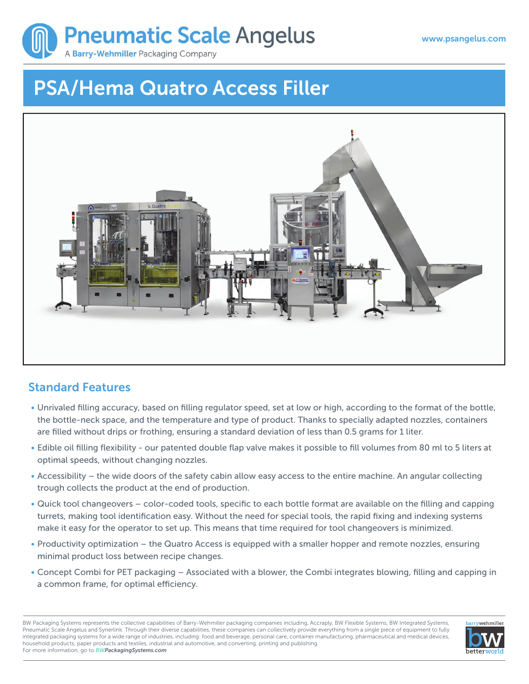

# **PSA/Hema Quatro Access Filler**



## **Standard Features**

- Unrivaled filling accuracy, based on filling regulator speed, set at low or high, according to the format of the bottle, the bottle-neck space, and the temperature and type of product. Thanks to specially adapted nozzles, containers are filled without drips or frothing, ensuring a standard deviation of less than 0.5 grams for 1 liter.
- Edible oil filling flexibility our patented double flap valve makes it possible to fill volumes from 80 ml to 5 liters at optimal speeds, without changing nozzles.
- Accessibility the wide doors of the safety cabin allow easy access to the entire machine. An angular collecting trough collects the product at the end of production.
- Quick tool changeovers color-coded tools, specific to each bottle format are available on the filling and capping turrets, making tool identification easy. Without the need for special tools, the rapid fixing and indexing systems make it easy for the operator to set up. This means that time required for tool changeovers is minimized.
- Productivity optimization the Quatro Access is equipped with a smaller hopper and remote nozzles, ensuring minimal product loss between recipe changes.
- Concept Combi for PET packaging Associated with a blower, the Combi integrates blowing, filling and capping in a common frame, for optimal efficiency.

BW Packaging Systems represents the collective capabilities of Barry-Wehmiller packaging companies including, Accraply, BW Flexible Systems, BW Integrated Systems, Pneumatic Scale Angelus and Synerlink. Through their diverse capabilities, these companies can collectively provide everything from a single piece of equipment to fully integrated packaging systems for a wide range of industries, including: food and beverage, personal care, container manufacturing, pharmaceutical and medical devices, household products, paper products and textiles, industrial and automotive, and converting, printing and publishing. For more information, go to *BWPackagingSystems.com*